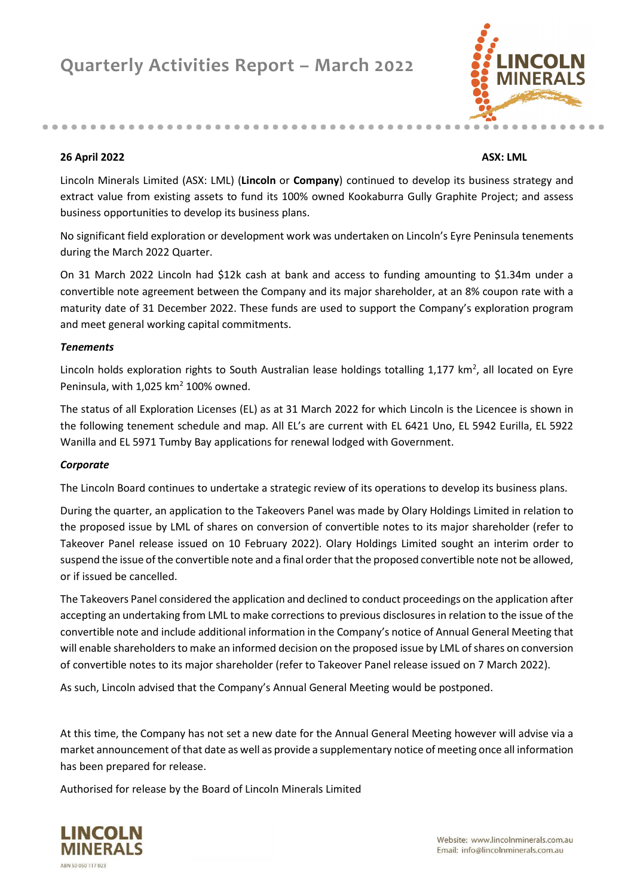...........................



#### **26 April 2022 ASX: LML**

Lincoln Minerals Limited (ASX: LML) (**Lincoln** or **Company**) continued to develop its business strategy and extract value from existing assets to fund its 100% owned Kookaburra Gully Graphite Project; and assess business opportunities to develop its business plans.

No significant field exploration or development work was undertaken on Lincoln's Eyre Peninsula tenements during the March 2022 Quarter.

On 31 March 2022 Lincoln had \$12k cash at bank and access to funding amounting to \$1.34m under a convertible note agreement between the Company and its major shareholder, at an 8% coupon rate with a maturity date of 31 December 2022. These funds are used to support the Company's exploration program and meet general working capital commitments.

#### *Tenements*

Lincoln holds exploration rights to South Australian lease holdings totalling  $1,177 \text{ km}^2$ , all located on Eyre Peninsula, with  $1,025$  km<sup>2</sup> 100% owned.

The status of all Exploration Licenses (EL) as at 31 March 2022 for which Lincoln is the Licencee is shown in the following tenement schedule and map. All EL's are current with EL 6421 Uno, EL 5942 Eurilla, EL 5922 Wanilla and EL 5971 Tumby Bay applications for renewal lodged with Government.

#### *Corporate*

The Lincoln Board continues to undertake a strategic review of its operations to develop its business plans.

During the quarter, an application to the Takeovers Panel was made by Olary Holdings Limited in relation to the proposed issue by LML of shares on conversion of convertible notes to its major shareholder (refer to Takeover Panel release issued on 10 February 2022). Olary Holdings Limited sought an interim order to suspend the issue of the convertible note and a final order that the proposed convertible note not be allowed, or if issued be cancelled.

The Takeovers Panel considered the application and declined to conduct proceedings on the application after accepting an undertaking from LML to make corrections to previous disclosures in relation to the issue of the convertible note and include additional information in the Company's notice of Annual General Meeting that will enable shareholders to make an informed decision on the proposed issue by LML of shares on conversion of convertible notes to its major shareholder (refer to Takeover Panel release issued on 7 March 2022).

As such, Lincoln advised that the Company's Annual General Meeting would be postponed.

At this time, the Company has not set a new date for the Annual General Meeting however will advise via a market announcement of that date as well as provide a supplementary notice of meeting once all information has been prepared for release.

Authorised for release by the Board of Lincoln Minerals Limited

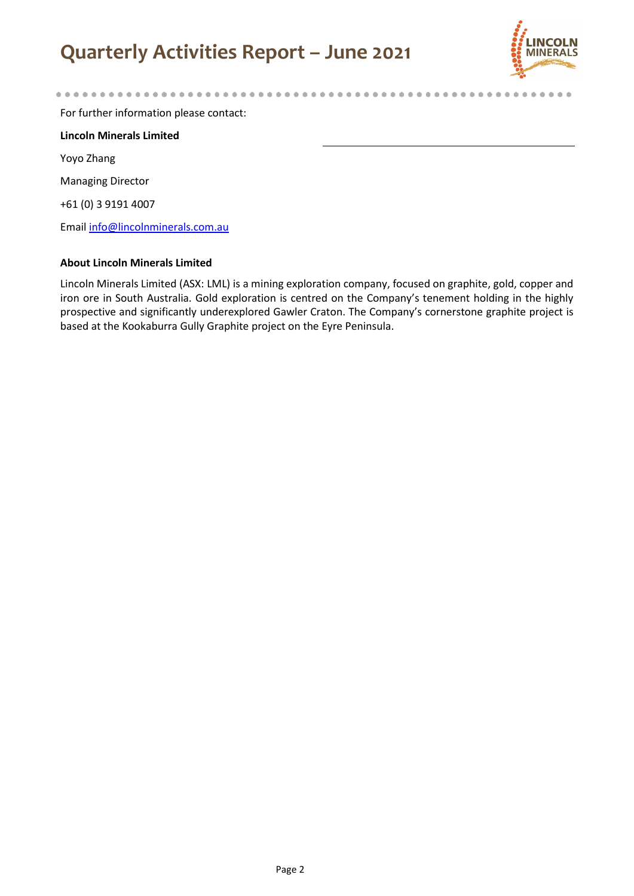# **Quarterly Activities Report – June 2021**



.....

For further information please contact:

**Lincoln Minerals Limited** Yoyo Zhang Managing Director +61 (0) 3 9191 4007 Emai[l info@lincolnminerals.com.au](mailto:info@lincolnminerals.com.au)

#### **About Lincoln Minerals Limited**

Lincoln Minerals Limited (ASX: LML) is a mining exploration company, focused on graphite, gold, copper and iron ore in South Australia. Gold exploration is centred on the Company's tenement holding in the highly prospective and significantly underexplored Gawler Craton. The Company's cornerstone graphite project is based at the Kookaburra Gully Graphite project on the Eyre Peninsula.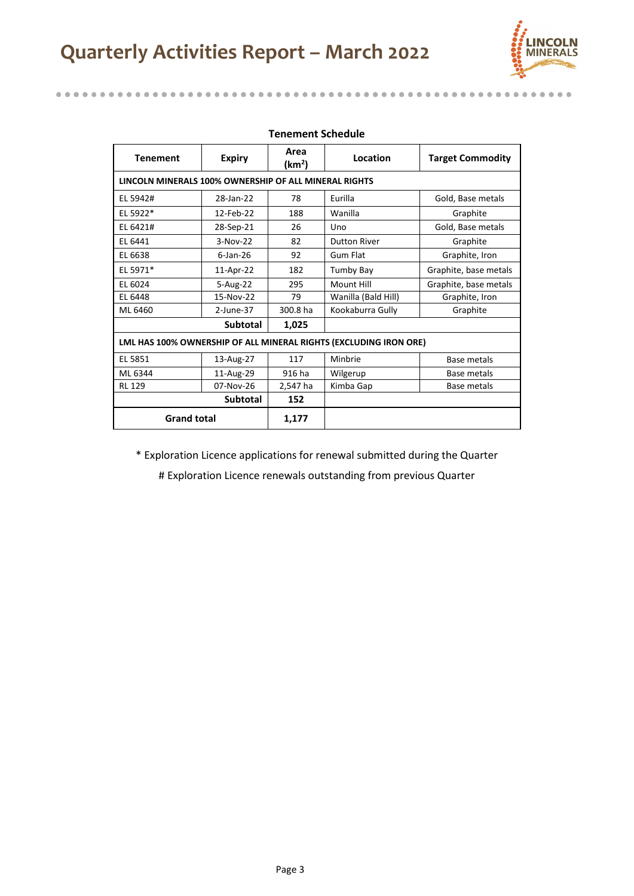# **Quarterly Activities Report – March 2022**

 $\alpha$  $\alpha$  .  $\triangle$  $\sim$ 

........

 $\alpha$  $\alpha$ 



 $\triangle$ 

 $0.0000$ 

.........

o.

 $\alpha$  $\blacksquare$  $\blacksquare$ 

| <b>Tenement</b>                                       | <b>Expiry</b>   | Area<br>(km²) | Location                                                          | <b>Target Commodity</b> |
|-------------------------------------------------------|-----------------|---------------|-------------------------------------------------------------------|-------------------------|
| LINCOLN MINERALS 100% OWNERSHIP OF ALL MINERAL RIGHTS |                 |               |                                                                   |                         |
| EL 5942#                                              | 28-Jan-22       | 78            | Eurilla                                                           | Gold, Base metals       |
| EL 5922*                                              | 12-Feb-22       | 188           | Wanilla                                                           | Graphite                |
| EL 6421#                                              | 28-Sep-21       | 26            | Uno                                                               | Gold, Base metals       |
| EL 6441                                               | $3-Nov-22$      | 82            | <b>Dutton River</b>                                               | Graphite                |
| EL 6638                                               | $6$ -Jan-26     | 92            | Gum Flat                                                          | Graphite, Iron          |
| EL 5971*                                              | 11-Apr-22       | 182           | Tumby Bay                                                         | Graphite, base metals   |
| EL 6024                                               | 5-Aug-22        | 295           | Mount Hill                                                        | Graphite, base metals   |
| EL 6448                                               | 15-Nov-22       | 79            | Wanilla (Bald Hill)                                               | Graphite, Iron          |
| ML 6460                                               | $2$ -June-37    | 300.8 ha      | Kookaburra Gully                                                  | Graphite                |
|                                                       | <b>Subtotal</b> | 1,025         |                                                                   |                         |
|                                                       |                 |               | LML HAS 100% OWNERSHIP OF ALL MINERAL RIGHTS (EXCLUDING IRON ORE) |                         |
| EL 5851                                               | 13-Aug-27       | 117           | Minbrie                                                           | Base metals             |
| ML 6344                                               | 11-Aug-29       | 916 ha        | Wilgerup                                                          | Base metals             |
| <b>RL 129</b>                                         | 07-Nov-26       | 2,547 ha      | Kimba Gap                                                         | Base metals             |
|                                                       | <b>Subtotal</b> | 152           |                                                                   |                         |
| <b>Grand total</b>                                    |                 | 1,177         |                                                                   |                         |

#### **Tenement Schedule**

\* Exploration Licence applications for renewal submitted during the Quarter

# Exploration Licence renewals outstanding from previous Quarter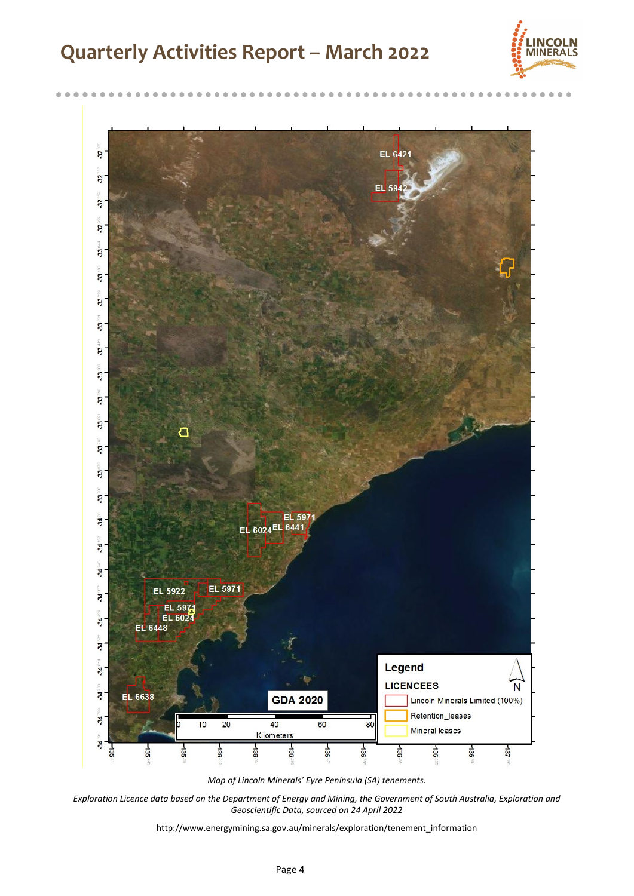## **Quarterly Activities Report – March 2022**

 $\mathfrak{m}$ 



 $\blacksquare$  $\blacksquare$  $\mathbb{R}$ 

 $\blacksquare$ 



*Exploration Licence data based on the Department of Energy and Mining, the Government of South Australia, Exploration and Geoscientific Data, sourced on 24 April 2022* 

[http://www.energymining.sa.gov.au/minerals/exploration/tenement\\_information](http://www.minerals.statedevelopment.sa.gov.au/geological_survey_of_sa/data)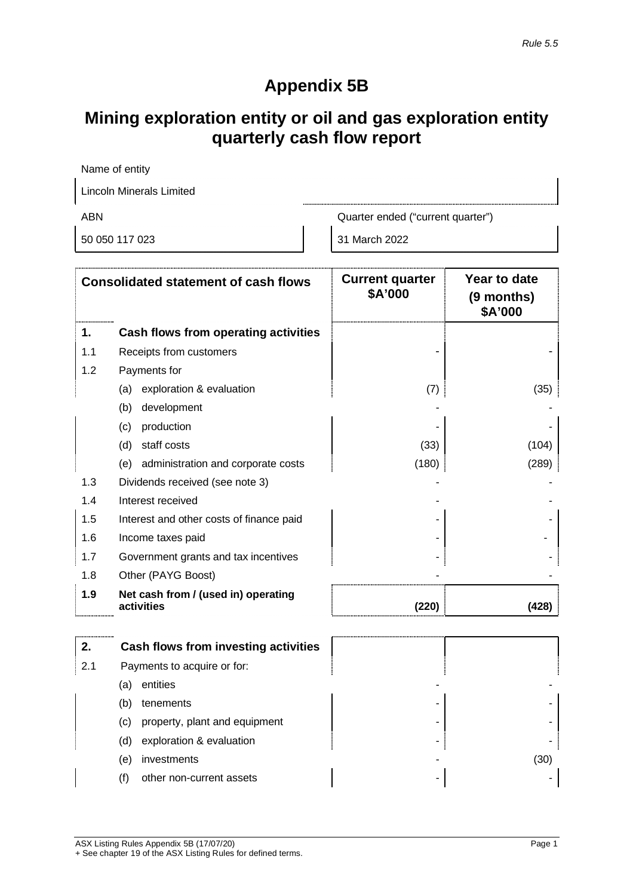### **Appendix 5B**

### **Mining exploration entity or oil and gas exploration entity quarterly cash flow report**

| Name of entity           |                                   |  |
|--------------------------|-----------------------------------|--|
| Lincoln Minerals Limited |                                   |  |
| ABN                      | Quarter ended ("current quarter") |  |
| 50 050 117 023           | 31 March 2022                     |  |

|     | <b>Consolidated statement of cash flows</b>       | <b>Current quarter</b><br>\$A'000 | Year to date<br>(9 months)<br>\$A'000 |
|-----|---------------------------------------------------|-----------------------------------|---------------------------------------|
| 1.  | Cash flows from operating activities              |                                   |                                       |
| 1.1 | Receipts from customers                           |                                   |                                       |
| 1.2 | Payments for                                      |                                   |                                       |
|     | exploration & evaluation<br>(a)                   | (7)                               | (35)                                  |
|     | development<br>(b)                                |                                   |                                       |
|     | (c)<br>production                                 |                                   |                                       |
|     | staff costs<br>(d)                                | (33)                              | (104)                                 |
|     | administration and corporate costs<br>(e)         | (180)                             | (289)                                 |
| 1.3 | Dividends received (see note 3)                   |                                   |                                       |
| 1.4 | Interest received                                 |                                   |                                       |
| 1.5 | Interest and other costs of finance paid          |                                   |                                       |
| 1.6 | Income taxes paid                                 |                                   |                                       |
| 1.7 | Government grants and tax incentives              |                                   |                                       |
| 1.8 | Other (PAYG Boost)                                |                                   |                                       |
| 1.9 | Net cash from / (used in) operating<br>activities | (220)                             | 4281                                  |

|     |     | Cash flows from investing activities |   |      |
|-----|-----|--------------------------------------|---|------|
| 2.1 |     | Payments to acquire or for:          |   |      |
|     | (a) | entities                             | - |      |
|     | (b) | tenements                            | - |      |
|     | (C) | property, plant and equipment        | - |      |
|     | (d) | exploration & evaluation             |   |      |
|     | (e) | investments                          | - | (30) |
|     |     | other non-current assets             | ۰ |      |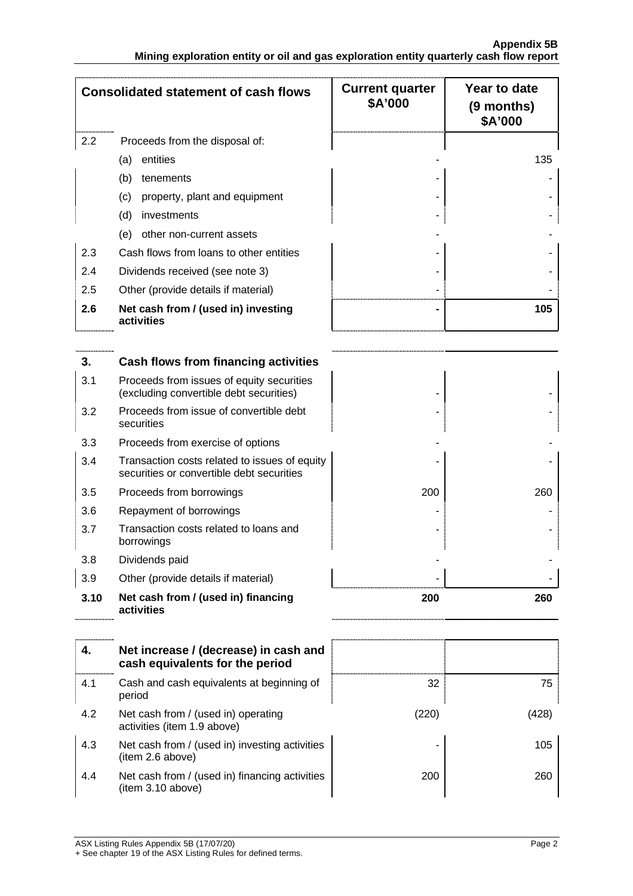|     | <b>Consolidated statement of cash flows</b>       | <b>Current quarter</b><br>\$A'000 | Year to date<br>(9 months)<br>\$A'000 |
|-----|---------------------------------------------------|-----------------------------------|---------------------------------------|
| 2.2 | Proceeds from the disposal of:                    |                                   |                                       |
|     | entities<br>(a)                                   |                                   | 135                                   |
|     | (b)<br>tenements                                  |                                   |                                       |
|     | property, plant and equipment<br>(c)              |                                   |                                       |
|     | (d)<br>investments                                |                                   |                                       |
|     | other non-current assets<br>(e)                   |                                   |                                       |
| 2.3 | Cash flows from loans to other entities           |                                   |                                       |
| 2.4 | Dividends received (see note 3)                   |                                   |                                       |
| 2.5 | Other (provide details if material)               |                                   |                                       |
| 2.6 | Net cash from / (used in) investing<br>activities |                                   | 105                                   |
|     | Cash flows from financing activities              |                                   |                                       |

| 3.   | Cash flows from financing activities                                                       |     |     |
|------|--------------------------------------------------------------------------------------------|-----|-----|
| 3.1  | Proceeds from issues of equity securities<br>(excluding convertible debt securities)       |     |     |
| 3.2  | Proceeds from issue of convertible debt<br>securities                                      |     |     |
| 3.3  | Proceeds from exercise of options                                                          |     |     |
| 3.4  | Transaction costs related to issues of equity<br>securities or convertible debt securities |     |     |
| 3.5  | Proceeds from borrowings                                                                   | 200 | 260 |
| 3.6  | Repayment of borrowings                                                                    |     |     |
| 3.7  | Transaction costs related to loans and<br>borrowings                                       |     |     |
| 3.8  | Dividends paid                                                                             |     |     |
| 3.9  | Other (provide details if material)                                                        |     |     |
| 3.10 | Net cash from / (used in) financing<br>activities                                          | 200 | 260 |

|     | Net increase / (decrease) in cash and<br>cash equivalents for the period |      |     |
|-----|--------------------------------------------------------------------------|------|-----|
| 4.1 | Cash and cash equivalents at beginning of<br>period                      | 32   | 75  |
| 4.2 | Net cash from / (used in) operating<br>activities (item 1.9 above)       | 2201 |     |
| 4.3 | Net cash from / (used in) investing activities<br>(item 2.6 above)       |      | 105 |
| 4.4 | Net cash from / (used in) financing activities<br>(item 3.10 above)      | 200  | 260 |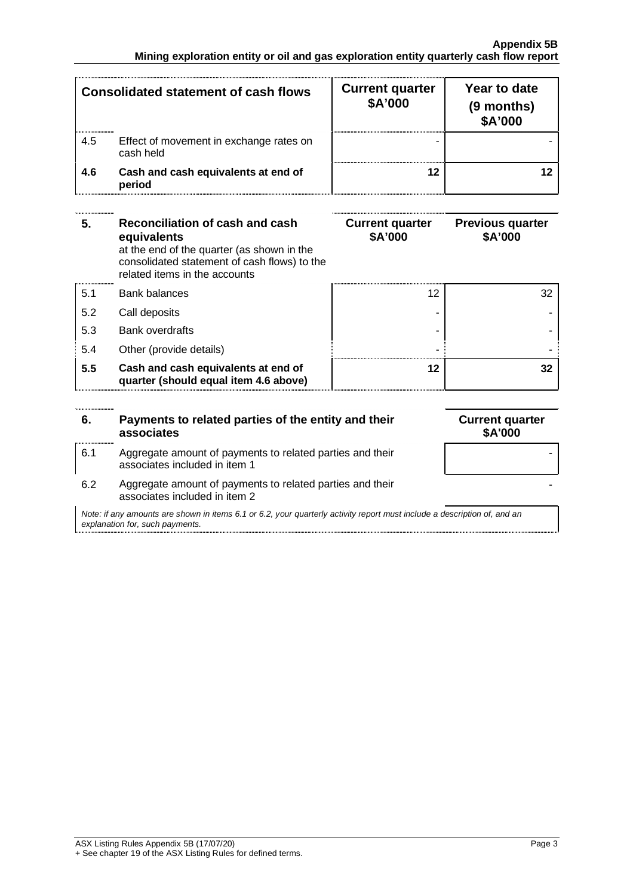| <b>Consolidated statement of cash flows</b> |                                                      | <b>Current quarter</b><br>\$A'000 | Year to date<br>(9 months)<br>\$A'000 |
|---------------------------------------------|------------------------------------------------------|-----------------------------------|---------------------------------------|
| 4.5                                         | Effect of movement in exchange rates on<br>cash held |                                   |                                       |
| 4.6                                         | Cash and cash equivalents at end of<br>period        |                                   |                                       |

| 5.  | Reconciliation of cash and cash<br>equivalents<br>at the end of the quarter (as shown in the<br>consolidated statement of cash flows) to the<br>related items in the accounts | <b>Current quarter</b><br>\$A'000 | <b>Previous quarter</b><br>\$A'000 |
|-----|-------------------------------------------------------------------------------------------------------------------------------------------------------------------------------|-----------------------------------|------------------------------------|
| 5.1 | Bank balances                                                                                                                                                                 | 12                                | 32                                 |
| 5.2 | Call deposits                                                                                                                                                                 |                                   |                                    |
| 5.3 | <b>Bank overdrafts</b>                                                                                                                                                        |                                   |                                    |
| 5.4 | Other (provide details)                                                                                                                                                       |                                   |                                    |
| 5.5 | Cash and cash equivalents at end of<br>quarter (should equal item 4.6 above)                                                                                                  | 12                                |                                    |

| 6.                                                                                                                                                          | Payments to related parties of the entity and their<br>associates                          | <b>Current quarter</b><br><b>\$A'000</b> |
|-------------------------------------------------------------------------------------------------------------------------------------------------------------|--------------------------------------------------------------------------------------------|------------------------------------------|
| 6.1                                                                                                                                                         | Aggregate amount of payments to related parties and their<br>associates included in item 1 |                                          |
| 6.2                                                                                                                                                         | Aggregate amount of payments to related parties and their<br>associates included in item 2 |                                          |
| Note: if any amounts are shown in items 6.1 or 6.2, your quarterly activity report must include a description of, and an<br>explanation for, such payments. |                                                                                            |                                          |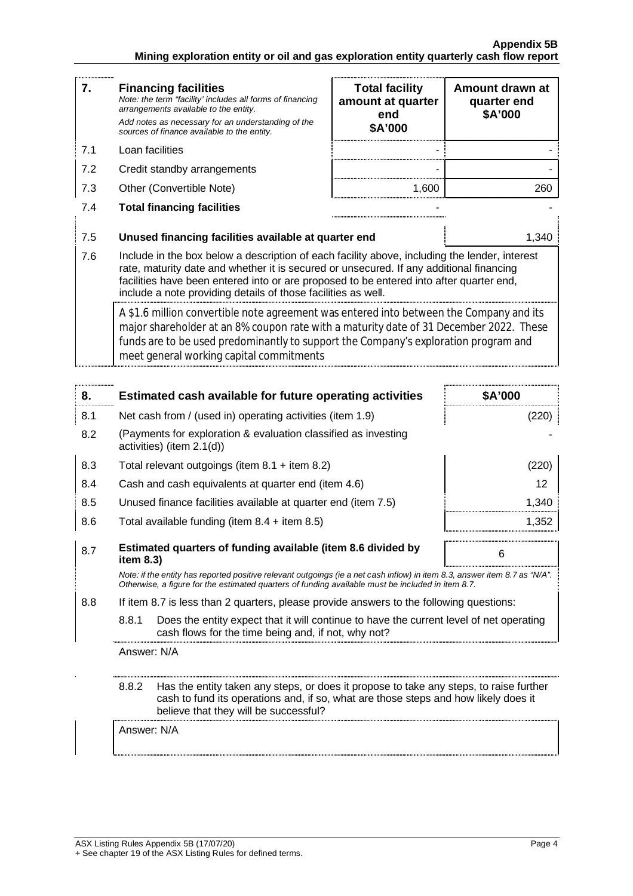| 7.  | <b>Financing facilities</b><br>Note: the term "facility' includes all forms of financing<br>arrangements available to the entity.<br>Add notes as necessary for an understanding of the<br>sources of finance available to the entity.                                                                                                               | <b>Total facility</b><br>amount at quarter<br>end<br>\$A'000 | Amount drawn at<br>quarter end<br>\$A'000 |
|-----|------------------------------------------------------------------------------------------------------------------------------------------------------------------------------------------------------------------------------------------------------------------------------------------------------------------------------------------------------|--------------------------------------------------------------|-------------------------------------------|
| 7.1 | Loan facilities                                                                                                                                                                                                                                                                                                                                      |                                                              |                                           |
| 7.2 | Credit standby arrangements                                                                                                                                                                                                                                                                                                                          |                                                              |                                           |
| 7.3 | Other (Convertible Note)                                                                                                                                                                                                                                                                                                                             | 1.600                                                        | 260                                       |
| 7.4 | <b>Total financing facilities</b>                                                                                                                                                                                                                                                                                                                    |                                                              |                                           |
| 7.5 | Unused financing facilities available at quarter end                                                                                                                                                                                                                                                                                                 |                                                              | 1.340                                     |
| 7.6 | Include in the box below a description of each facility above, including the lender, interest<br>rate, maturity date and whether it is secured or unsecured. If any additional financing<br>facilities have been entered into or are proposed to be entered into after quarter end,<br>include a note providing details of those facilities as well. |                                                              |                                           |
|     | A \$1.6 million convertible note agreement was entered into between the Company and its<br>major shareholder at an 8% coupon rate with a maturity date of 31 December 2022. These<br>funds are to be used predominantly to support the Company's exploration program and<br>meet general working capital commitments                                 |                                                              |                                           |

| 8.  |                                                                                                                                                                                                                                 | Estimated cash available for future operating activities                                                                                                                                                                        | \$A'000 |
|-----|---------------------------------------------------------------------------------------------------------------------------------------------------------------------------------------------------------------------------------|---------------------------------------------------------------------------------------------------------------------------------------------------------------------------------------------------------------------------------|---------|
| 8.1 |                                                                                                                                                                                                                                 | Net cash from / (used in) operating activities (item 1.9)                                                                                                                                                                       | (220)   |
| 8.2 | (Payments for exploration & evaluation classified as investing<br>activities) (item $2.1(d)$ )                                                                                                                                  |                                                                                                                                                                                                                                 |         |
| 8.3 |                                                                                                                                                                                                                                 | Total relevant outgoings (item $8.1 +$ item $8.2$ )                                                                                                                                                                             | (220)   |
| 8.4 |                                                                                                                                                                                                                                 | Cash and cash equivalents at quarter end (item 4.6)                                                                                                                                                                             | 12      |
| 8.5 |                                                                                                                                                                                                                                 | Unused finance facilities available at quarter end (item 7.5)                                                                                                                                                                   | 1,340   |
| 8.6 |                                                                                                                                                                                                                                 | Total available funding (item $8.4$ + item $8.5$ )                                                                                                                                                                              | 1,352   |
| 8.7 | Estimated quarters of funding available (item 8.6 divided by<br>6<br>item 8.3)                                                                                                                                                  |                                                                                                                                                                                                                                 |         |
|     |                                                                                                                                                                                                                                 | Note: if the entity has reported positive relevant outgoings (ie a net cash inflow) in item 8.3, answer item 8.7 as "N/A".<br>Otherwise, a figure for the estimated quarters of funding available must be included in item 8.7. |         |
| 8.8 |                                                                                                                                                                                                                                 | If item 8.7 is less than 2 quarters, please provide answers to the following questions:                                                                                                                                         |         |
|     | 8.8.1                                                                                                                                                                                                                           | Does the entity expect that it will continue to have the current level of net operating<br>cash flows for the time being and, if not, why not?                                                                                  |         |
|     | Answer: N/A                                                                                                                                                                                                                     |                                                                                                                                                                                                                                 |         |
|     | 8.8.2<br>Has the entity taken any steps, or does it propose to take any steps, to raise further<br>cash to fund its operations and, if so, what are those steps and how likely does it<br>believe that they will be successful? |                                                                                                                                                                                                                                 |         |
|     | Answer: N/A                                                                                                                                                                                                                     |                                                                                                                                                                                                                                 |         |